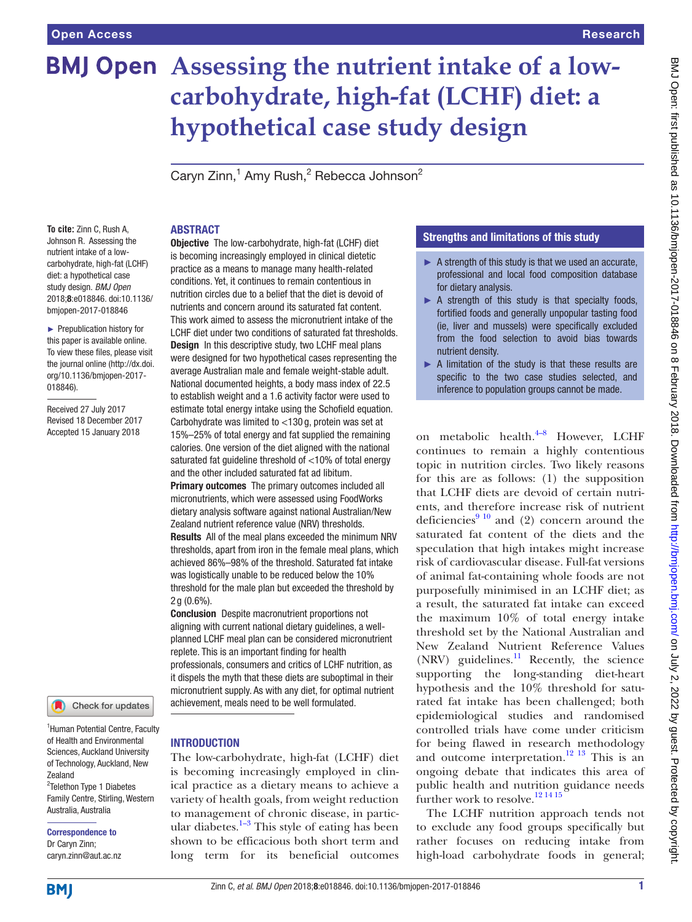# **BMJ Open** Assessing the nutrient intake of a low**carbohydrate, high-fat (LCHF) diet: a hypothetical case study design**

Caryn Zinn,<sup>1</sup> Amy Rush,<sup>2</sup> Rebecca Johnson<sup>2</sup>

#### **To cite:** Zinn C, Rush A, Johnson R. Assessing the nutrient intake of a lowcarbohydrate, high-fat (LCHF) diet: a hypothetical case study design. *BMJ Open* 2018;8:e018846. doi:10.1136/ bmjopen-2017-018846

► Prepublication history for this paper is available online. To view these files, please visit the journal online [\(http://dx.doi.](http://dx.doi.org/10.1136/bmjopen-2017-018846) [org/10.1136/bmjopen-2017-](http://dx.doi.org/10.1136/bmjopen-2017-018846) [018846\)](http://dx.doi.org/10.1136/bmjopen-2017-018846).

Received 27 July 2017 Revised 18 December 2017 Accepted 15 January 2018

#### Check for updates

<sup>1</sup>Human Potential Centre, Faculty of Health and Environmental Sciences, Auckland University of Technology, Auckland, New Zealand 2 Telethon Type 1 Diabetes Family Centre, Stirling, Western Australia, Australia

Correspondence to Dr Caryn Zinn; caryn.zinn@aut.ac.nz

#### **ABSTRACT**

**Objective** The low-carbohydrate, high-fat (LCHF) diet is becoming increasingly employed in clinical dietetic practice as a means to manage many health-related conditions. Yet, it continues to remain contentious in nutrition circles due to a belief that the diet is devoid of nutrients and concern around its saturated fat content. This work aimed to assess the micronutrient intake of the LCHF diet under two conditions of saturated fat thresholds. Design In this descriptive study, two LCHF meal plans were designed for two hypothetical cases representing the average Australian male and female weight-stable adult. National documented heights, a body mass index of 22.5 to establish weight and a 1.6 activity factor were used to estimate total energy intake using the Schofield equation. Carbohydrate was limited to <130 g, protein was set at 15%–25% of total energy and fat supplied the remaining calories. One version of the diet aligned with the national saturated fat guideline threshold of <10% of total energy and the other included saturated fat ad libitum.

**Primary outcomes** The primary outcomes included all micronutrients, which were assessed using FoodWorks dietary analysis software against national Australian/New Zealand nutrient reference value (NRV) thresholds.

Results All of the meal plans exceeded the minimum NRV thresholds, apart from iron in the female meal plans, which achieved 86%–98% of the threshold. Saturated fat intake was logistically unable to be reduced below the 10% threshold for the male plan but exceeded the threshold by 2 g (0.6%).

Conclusion Despite macronutrient proportions not aligning with current national dietary guidelines, a wellplanned LCHF meal plan can be considered micronutrient replete. This is an important finding for health professionals, consumers and critics of LCHF nutrition, as it dispels the myth that these diets are suboptimal in their micronutrient supply. As with any diet, for optimal nutrient achievement, meals need to be well formulated.

#### **INTRODUCTION**

The low-carbohydrate, high-fat (LCHF) diet is becoming increasingly employed in clinical practice as a dietary means to achieve a variety of health goals, from weight reduction to management of chronic disease, in particular diabetes. $1-3$  This style of eating has been shown to be efficacious both short term and long term for its beneficial outcomes

#### Strengths and limitations of this study

- $\blacktriangleright$  A strength of this study is that we used an accurate, professional and local food composition database for dietary analysis.
- ► A strength of this study is that specialty foods, fortified foods and generally unpopular tasting food (ie, liver and mussels) were specifically excluded from the food selection to avoid bias towards nutrient density.
- $\triangleright$  A limitation of the study is that these results are specific to the two case studies selected, and inference to population groups cannot be made.

on metabolic health.<sup>4-8</sup> However, LCHF continues to remain a highly contentious topic in nutrition circles. Two likely reasons for this are as follows: (1) the supposition that LCHF diets are devoid of certain nutrients, and therefore increase risk of nutrient deficiencies $9^{10}$  and (2) concern around the saturated fat content of the diets and the speculation that high intakes might increase risk of cardiovascular disease. Full-fat versions of animal fat-containing whole foods are not purposefully minimised in an LCHF diet; as a result, the saturated fat intake can exceed the maximum 10% of total energy intake threshold set by the National Australian and New Zealand Nutrient Reference Values  $(NRV)$  guidelines.<sup>11</sup> Recently, the science supporting the long-standing diet-heart hypothesis and the 10% threshold for saturated fat intake has been challenged; both epidemiological studies and randomised controlled trials have come under criticism for being flawed in research methodology and outcome interpretation.<sup>[12 13](#page-6-3)</sup> This is an ongoing debate that indicates this area of public health and nutrition guidance needs further work to resolve.<sup>12 14 15</sup>

The LCHF nutrition approach tends not to exclude any food groups specifically but rather focuses on reducing intake from high-load carbohydrate foods in general;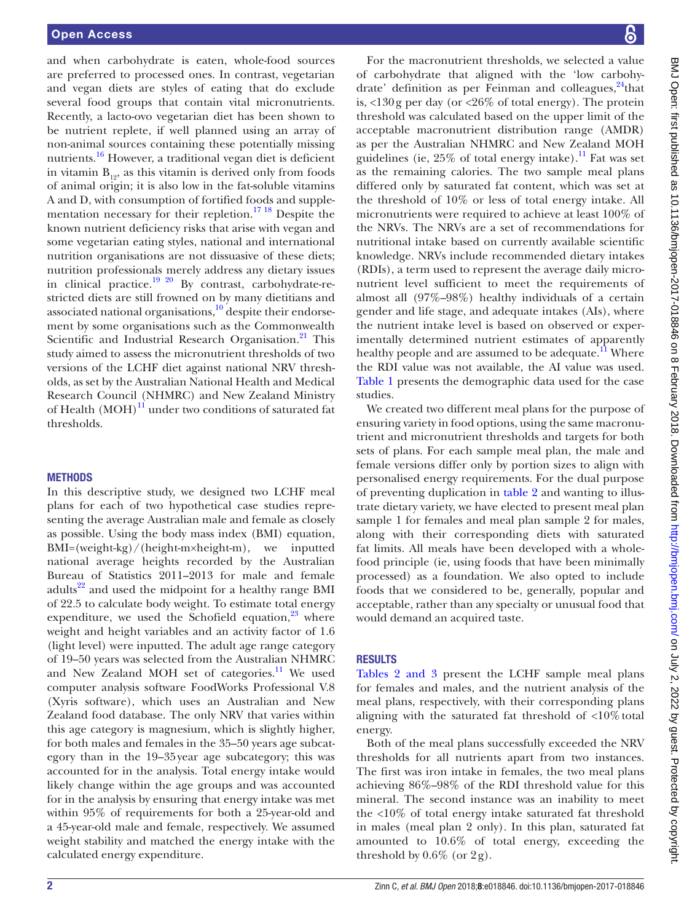and when carbohydrate is eaten, whole-food sources are preferred to processed ones. In contrast, vegetarian and vegan diets are styles of eating that do exclude several food groups that contain vital micronutrients. Recently, a lacto-ovo vegetarian diet has been shown to be nutrient replete, if well planned using an array of non-animal sources containing these potentially missing nutrients.[16](#page-6-4) However, a traditional vegan diet is deficient in vitamin  $B_{12}$ , as this vitamin is derived only from foods of animal origin; it is also low in the fat-soluble vitamins A and D, with consumption of fortified foods and supple-mentation necessary for their repletion.<sup>[17 18](#page-6-5)</sup> Despite the known nutrient deficiency risks that arise with vegan and some vegetarian eating styles, national and international nutrition organisations are not dissuasive of these diets; nutrition professionals merely address any dietary issues in clinical practice.<sup>19 20</sup> By contrast, carbohydrate-restricted diets are still frowned on by many dietitians and associated national organisations, $^{10}$  $^{10}$  $^{10}$  despite their endorsement by some organisations such as the Commonwealth Scientific and Industrial Research Organisation.<sup>21</sup> This study aimed to assess the micronutrient thresholds of two versions of the LCHF diet against national NRV thresholds, as set by the Australian National Health and Medical Research Council (NHMRC) and New Zealand Ministry of Health  $(MOH)^{11}$  $(MOH)^{11}$  $(MOH)^{11}$  under two conditions of saturated fat thresholds.

#### **METHODS**

In this descriptive study, we designed two LCHF meal plans for each of two hypothetical case studies representing the average Australian male and female as closely as possible. Using the body mass index (BMI) equation, BMI=(weight-kg)/(height-m×height-m), we inputted national average heights recorded by the Australian Bureau of Statistics 2011–2013 for male and female adults $^{22}$  and used the midpoint for a healthy range BMI of 22.5 to calculate body weight. To estimate total energy expenditure, we used the Schofield equation, $23$  where weight and height variables and an activity factor of 1.6 (light level) were inputted. The adult age range category of 19–50 years was selected from the Australian NHMRC and New Zealand MOH set of categories.<sup>11</sup> We used computer analysis software FoodWorks Professional V.8 (Xyris software), which uses an Australian and New Zealand food database. The only NRV that varies within this age category is magnesium, which is slightly higher, for both males and females in the 35–50 years age subcategory than in the 19–35year age subcategory; this was accounted for in the analysis. Total energy intake would likely change within the age groups and was accounted for in the analysis by ensuring that energy intake was met within 95% of requirements for both a 25-year-old and a 45-year-old male and female, respectively. We assumed weight stability and matched the energy intake with the calculated energy expenditure.

For the macronutrient thresholds, we selected a value of carbohydrate that aligned with the 'low carbohydrate' definition as per Feinman and colleagues,<sup>24</sup>that is, <130g per day (or <26% of total energy). The protein threshold was calculated based on the upper limit of the acceptable macronutrient distribution range (AMDR) as per the Australian NHMRC and New Zealand MOH guidelines (ie,  $25\%$  of total energy intake).<sup>11</sup> Fat was set as the remaining calories. The two sample meal plans differed only by saturated fat content, which was set at the threshold of 10% or less of total energy intake. All micronutrients were required to achieve at least 100% of the NRVs. The NRVs are a set of recommendations for nutritional intake based on currently available scientific knowledge. NRVs include recommended dietary intakes (RDIs), a term used to represent the average daily micronutrient level sufficient to meet the requirements of almost all (97%–98%) healthy individuals of a certain gender and life stage, and adequate intakes (AIs), where the nutrient intake level is based on observed or experimentally determined nutrient estimates of apparently healthy people and are assumed to be adequate.<sup>11</sup> Where the RDI value was not available, the AI value was used. [Table](#page-2-0) 1 presents the demographic data used for the case studies.

We created two different meal plans for the purpose of ensuring variety in food options, using the same macronutrient and micronutrient thresholds and targets for both sets of plans. For each sample meal plan, the male and female versions differ only by portion sizes to align with personalised energy requirements. For the dual purpose of preventing duplication in [table](#page-3-0) 2 and wanting to illustrate dietary variety, we have elected to present meal plan sample 1 for females and meal plan sample 2 for males, along with their corresponding diets with saturated fat limits. All meals have been developed with a wholefood principle (ie, using foods that have been minimally processed) as a foundation. We also opted to include foods that we considered to be, generally, popular and acceptable, rather than any specialty or unusual food that would demand an acquired taste.

### **RESULTS**

Tables [2 and 3](#page-3-0) present the LCHF sample meal plans for females and males, and the nutrient analysis of the meal plans, respectively, with their corresponding plans aligning with the saturated fat threshold of  $\langle 10\% \rangle$  total energy.

Both of the meal plans successfully exceeded the NRV thresholds for all nutrients apart from two instances. The first was iron intake in females, the two meal plans achieving 86%–98% of the RDI threshold value for this mineral. The second instance was an inability to meet the <10% of total energy intake saturated fat threshold in males (meal plan 2 only). In this plan, saturated fat amounted to 10.6% of total energy, exceeding the threshold by  $0.6\%$  (or  $2g$ ).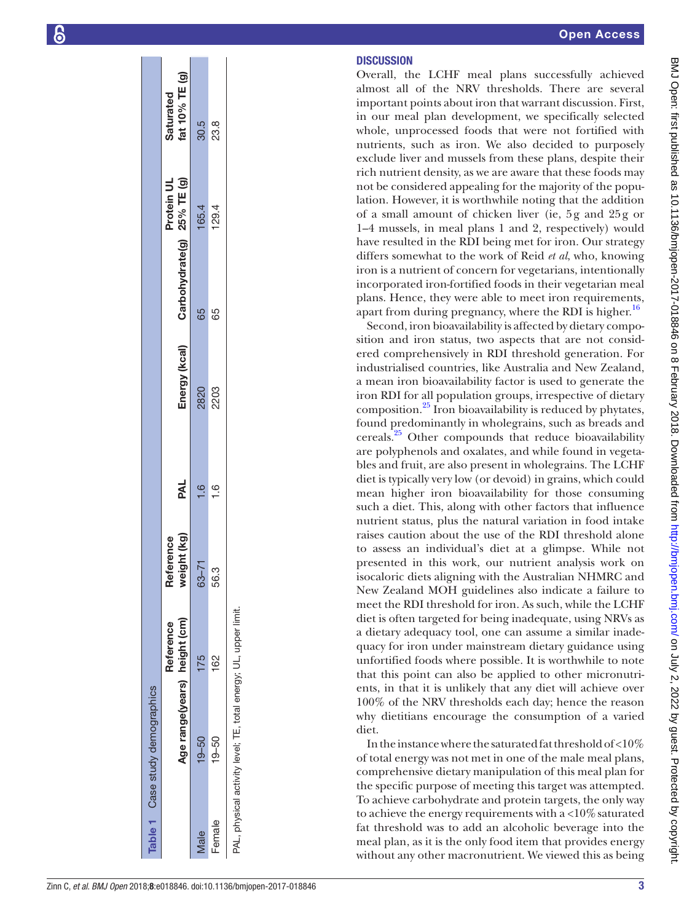|        | Table 1 Case study demographics                                  |                                           |                          |               |               |                            |            |                                    |
|--------|------------------------------------------------------------------|-------------------------------------------|--------------------------|---------------|---------------|----------------------------|------------|------------------------------------|
|        |                                                                  | Age range(years) height (cm)<br>Reference | weight (kg)<br>Reference | PAL           | Energy (kcal) | Carbohydrate(g) 25% TE (g) | Protein UL | fat 10% TE (g)<br><b>Saturated</b> |
| Vlale  | $19 - 50$                                                        | 175                                       | $63 - 71$                | $\frac{6}{1}$ | 2820          | 65                         | 165.4      | 30.5                               |
| Female | $19 - 50$                                                        | 162                                       | 56.3                     | $\frac{6}{1}$ | 2203          | 65                         | 129.4      | 23.8                               |
|        | PAL, physical activity level; TE, total energy; UL, upper limit. |                                           |                          |               |               |                            |            |                                    |

# **DISCUSSION**

Overall, the LCHF meal plans successfully achieved almost all of the NRV thresholds. There are several important points about iron that warrant discussion. First, in our meal plan development, we specifically selected whole, unprocessed foods that were not fortified with nutrients, such as iron. We also decided to purposely exclude liver and mussels from these plans, despite their rich nutrient density, as we are aware that these foods may not be considered appealing for the majority of the popu lation. However, it is worthwhile noting that the addition of a small amount of chicken liver (ie, 5g and 25g or 1–4 mussels, in meal plans 1 and 2, respectively) would have resulted in the RDI being met for iron. Our strategy differs somewhat to the work of Reid *et al*, who, knowing iron is a nutrient of concern for vegetarians, intentionally incorporated iron-fortified foods in their vegetarian meal plans. Hence, they were able to meet iron requirements, apart from during pregnancy, where the RDI is higher. $16$ 

Second, iron bioavailability is affected by dietary compo sition and iron status, two aspects that are not considered comprehensively in RDI threshold generation. For industrialised countries, like Australia and New Zealand, a mean iron bioavailability factor is used to generate the iron RDI for all population groups, irrespective of dietary composition.[25](#page-6-12) Iron bioavailability is reduced by phytates, found predominantly in wholegrains, such as breads and cereals.<sup>25</sup> Other compounds that reduce bioavailability are polyphenols and oxalates, and while found in vegetables and fruit, are also present in wholegrains. The LCHF diet is typically very low (or devoid) in grains, which could mean higher iron bioavailability for those consuming such a diet. This, along with other factors that influence nutrient status, plus the natural variation in food intake raises caution about the use of the RDI threshold alone to assess an individual's diet at a glimpse. While not presented in this work, our nutrient analysis work on isocaloric diets aligning with the Australian NHMRC and New Zealand MOH guidelines also indicate a failure to meet the RDI threshold for iron. As such, while the LCHF diet is often targeted for being inadequate, using NRVs as a dietary adequacy tool, one can assume a similar inade quacy for iron under mainstream dietary guidance using unfortified foods where possible. It is worthwhile to note that this point can also be applied to other micronutri ents, in that it is unlikely that any diet will achieve over 100% of the NRV thresholds each day; hence the reason why dietitians encourage the consumption of a varied diet.

<span id="page-2-0"></span>In the instance where the saturated fat threshold of<10% of total energy was not met in one of the male meal plans, comprehensive dietary manipulation of this meal plan for the specific purpose of meeting this target was attempted. To achieve carbohydrate and protein targets, the only way to achieve the energy requirements with a  $<$ 10% saturated fat threshold was to add an alcoholic beverage into the meal plan, as it is the only food item that provides energy without any other macronutrient. We viewed this as being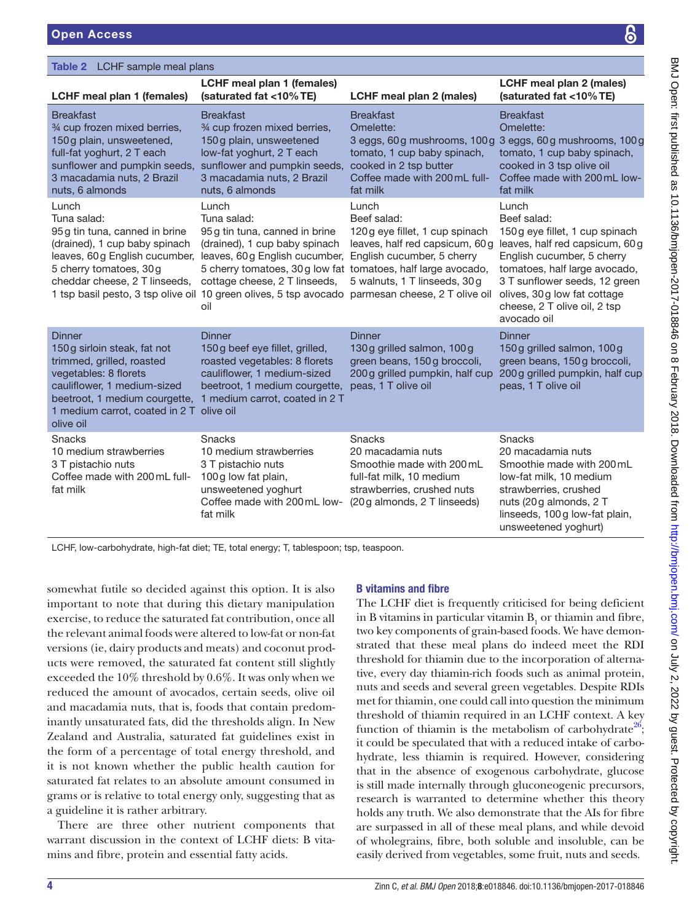#### <span id="page-3-0"></span>Table 2 LCHF sample meal plans

| <b>LCHF</b> meal plan 1 (females)                                                                                                                                                                                            | <b>LCHF</b> meal plan 1 (females)<br>(saturated fat <10% TE)                                                                                                                                                                                                                                                                           | LCHF meal plan 2 (males)                                                                                                                                 | <b>LCHF</b> meal plan 2 (males)<br>(saturated fat <10% TE)                                                                                                                                                                                                              |
|------------------------------------------------------------------------------------------------------------------------------------------------------------------------------------------------------------------------------|----------------------------------------------------------------------------------------------------------------------------------------------------------------------------------------------------------------------------------------------------------------------------------------------------------------------------------------|----------------------------------------------------------------------------------------------------------------------------------------------------------|-------------------------------------------------------------------------------------------------------------------------------------------------------------------------------------------------------------------------------------------------------------------------|
| <b>Breakfast</b><br>3/4 cup frozen mixed berries,<br>150 g plain, unsweetened,<br>full-fat yoghurt, 2 T each<br>3 macadamia nuts, 2 Brazil<br>nuts, 6 almonds                                                                | <b>Breakfast</b><br>3/4 cup frozen mixed berries,<br>150g plain, unsweetened<br>low-fat yoghurt, 2 T each<br>sunflower and pumpkin seeds, sunflower and pumpkin seeds,<br>3 macadamia nuts, 2 Brazil<br>nuts, 6 almonds                                                                                                                | <b>Breakfast</b><br>Omelette:<br>tomato, 1 cup baby spinach,<br>cooked in 2 tsp butter<br>Coffee made with 200 mL full-<br>fat milk                      | <b>Breakfast</b><br>Omelette:<br>3 eggs, 60 g mushrooms, 100 g 3 eggs, 60 g mushrooms, 100 g<br>tomato, 1 cup baby spinach,<br>cooked in 3 tsp olive oil<br>Coffee made with 200 mL low-<br>fat milk                                                                    |
| Lunch<br>Tuna salad:<br>95 g tin tuna, canned in brine<br>(drained), 1 cup baby spinach<br>leaves, 60 g English cucumber,<br>5 cherry tomatoes, 30 g<br>cheddar cheese, 2 T linseeds,                                        | Lunch<br>Tuna salad:<br>95 g tin tuna, canned in brine<br>(drained), 1 cup baby spinach<br>leaves, 60 g English cucumber,<br>5 cherry tomatoes, 30 g low fat tomatoes, half large avocado,<br>cottage cheese, 2 T linseeds,<br>1 tsp basil pesto, 3 tsp olive oil 10 green olives, 5 tsp avocado parmesan cheese, 2 T olive oil<br>oil | Lunch<br>Beef salad:<br>120g eye fillet, 1 cup spinach<br>leaves, half red capsicum, 60 g<br>English cucumber, 5 cherry<br>5 walnuts, 1 T linseeds, 30 g | Lunch<br>Beef salad:<br>150g eye fillet, 1 cup spinach<br>leaves, half red capsicum, 60 g<br>English cucumber, 5 cherry<br>tomatoes, half large avocado,<br>3 T sunflower seeds, 12 green<br>olives, 30g low fat cottage<br>cheese, 2 T olive oil, 2 tsp<br>avocado oil |
| <b>Dinner</b><br>150 g sirloin steak, fat not<br>trimmed, grilled, roasted<br>vegetables: 8 florets<br>cauliflower, 1 medium-sized<br>beetroot, 1 medium courgette,<br>1 medium carrot, coated in 2 T olive oil<br>olive oil | <b>Dinner</b><br>150g beef eye fillet, grilled,<br>roasted vegetables: 8 florets<br>cauliflower, 1 medium-sized<br>beetroot, 1 medium courgette,<br>1 medium carrot, coated in 2 T                                                                                                                                                     | <b>Dinner</b><br>130g grilled salmon, 100g<br>green beans, 150 g broccoli,<br>200 g grilled pumpkin, half cup<br>peas, 1 T olive oil                     | <b>Dinner</b><br>150g grilled salmon, 100g<br>green beans, 150g broccoli,<br>200 g grilled pumpkin, half cup<br>peas, 1 T olive oil                                                                                                                                     |
| <b>Snacks</b><br>10 medium strawberries<br>3 T pistachio nuts<br>Coffee made with 200 mL full-<br>fat milk                                                                                                                   | Snacks<br>10 medium strawberries<br>3 T pistachio nuts<br>100g low fat plain,<br>unsweetened yoghurt<br>Coffee made with 200 mL low-<br>fat milk                                                                                                                                                                                       | Snacks<br>20 macadamia nuts<br>Smoothie made with 200 mL<br>full-fat milk, 10 medium<br>strawberries, crushed nuts<br>(20 g almonds, 2 T linseeds)       | <b>Snacks</b><br>20 macadamia nuts<br>Smoothie made with 200 mL<br>low-fat milk, 10 medium<br>strawberries, crushed<br>nuts (20 g almonds, 2 T<br>linseeds, 100 g low-fat plain,<br>unsweetened yoghurt)                                                                |

LCHF, low-carbohydrate, high-fat diet; TE, total energy; T, tablespoon; tsp, teaspoon.

somewhat futile so decided against this option. It is also important to note that during this dietary manipulation exercise, to reduce the saturated fat contribution, once all the relevant animal foods were altered to low-fat or non-fat versions (ie, dairy products and meats) and coconut products were removed, the saturated fat content still slightly exceeded the 10% threshold by 0.6%. It was only when we reduced the amount of avocados, certain seeds, olive oil and macadamia nuts, that is, foods that contain predominantly unsaturated fats, did the thresholds align. In New Zealand and Australia, saturated fat guidelines exist in the form of a percentage of total energy threshold, and it is not known whether the public health caution for saturated fat relates to an absolute amount consumed in grams or is relative to total energy only, suggesting that as a guideline it is rather arbitrary.

There are three other nutrient components that warrant discussion in the context of LCHF diets: B vitamins and fibre, protein and essential fatty acids.

# B vitamins and fibre

The LCHF diet is frequently criticised for being deficient in B vitamins in particular vitamin  $\mathbf{B}_{\text{1}}$  or thiamin and fibre, two key components of grain-based foods. We have demonstrated that these meal plans do indeed meet the RDI threshold for thiamin due to the incorporation of alternative, every day thiamin-rich foods such as animal protein, nuts and seeds and several green vegetables. Despite RDIs met for thiamin, one could call into question the minimum threshold of thiamin required in an LCHF context. A key function of thiamin is the metabolism of carbohydrate<sup>26</sup>; it could be speculated that with a reduced intake of carbohydrate, less thiamin is required. However, considering that in the absence of exogenous carbohydrate, glucose is still made internally through gluconeogenic precursors, research is warranted to determine whether this theory holds any truth. We also demonstrate that the AIs for fibre are surpassed in all of these meal plans, and while devoid of wholegrains, fibre, both soluble and insoluble, can be easily derived from vegetables, some fruit, nuts and seeds.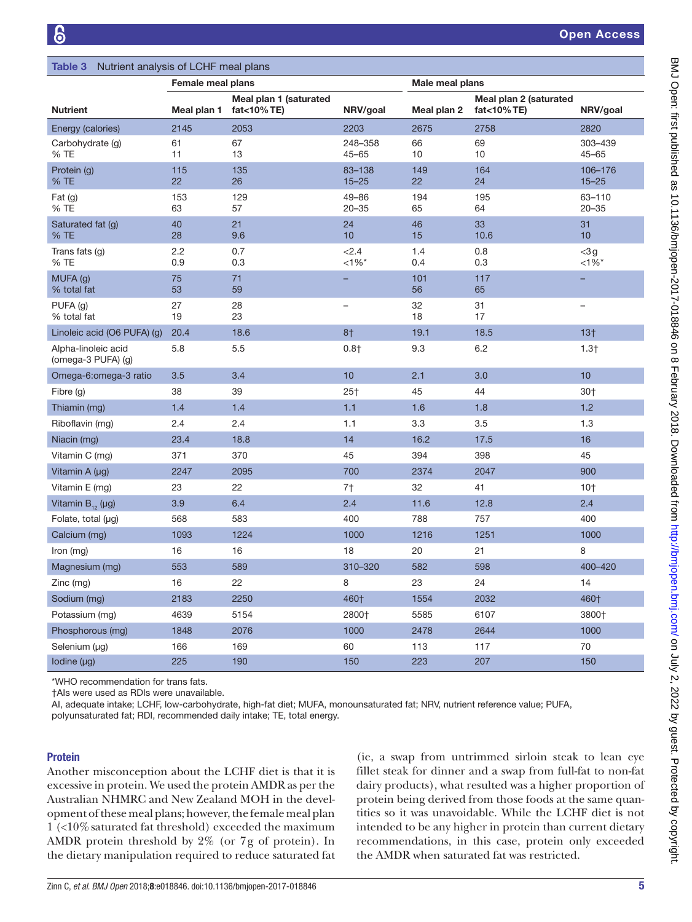| Table 3 Nutrient analysis of LCHF meal plans     |                   |                                       |                          |                 |                                       |                          |  |
|--------------------------------------------------|-------------------|---------------------------------------|--------------------------|-----------------|---------------------------------------|--------------------------|--|
|                                                  | Female meal plans |                                       |                          | Male meal plans |                                       |                          |  |
| <b>Nutrient</b>                                  | Meal plan 1       | Meal plan 1 (saturated<br>fat<10% TE) | NRV/goal                 | Meal plan 2     | Meal plan 2 (saturated<br>fat<10% TE) | NRV/goal                 |  |
| Energy (calories)                                | 2145              | 2053                                  | 2203                     | 2675            | 2758                                  | 2820                     |  |
| Carbohydrate (g)<br>% TE                         | 61<br>11          | 67<br>13                              | 248-358<br>$45 - 65$     | 66<br>10        | 69<br>10                              | 303-439<br>$45 - 65$     |  |
| Protein (g)<br>% TE                              | 115<br>22         | 135<br>26                             | 83-138<br>$15 - 25$      | 149<br>22       | 164<br>24                             | 106-176<br>$15 - 25$     |  |
| Fat (g)<br>% TE                                  | 153<br>63         | 129<br>57                             | $49 - 86$<br>$20 - 35$   | 194<br>65       | 195<br>64                             | 63-110<br>$20 - 35$      |  |
| Saturated fat (g)<br>%TE                         | 40<br>28          | 21<br>9.6                             | 24<br>10                 | 46<br>15        | 33<br>10.6                            | 31<br>10                 |  |
| Trans fats (g)<br>% TE                           | 2.2<br>0.9        | 0.7<br>0.3                            | 2.4<br>$<1\%$ *          | 1.4<br>0.4      | 0.8<br>0.3                            | $<$ 3g<br>$< 1\%$ *      |  |
| MUFA (g)<br>% total fat                          | 75<br>53          | 71<br>59                              |                          | 101<br>56       | 117<br>65                             |                          |  |
| PUFA (g)<br>% total fat                          | 27<br>19          | 28<br>23                              | $\overline{\phantom{0}}$ | 32<br>18        | 31<br>17                              | $\overline{\phantom{0}}$ |  |
| Linoleic acid (O6 PUFA) (g)                      | 20.4              | 18.6                                  | 8†                       | 19.1            | 18.5                                  | 13 <sub>†</sub>          |  |
| Alpha-linoleic acid<br>$(omega-3$ PUFA $)$ $(q)$ | 5.8               | 5.5                                   | $0.8 +$                  | 9.3             | 6.2                                   | 1.3 <sub>†</sub>         |  |
| Omega-6:omega-3 ratio                            | 3.5               | 3.4                                   | 10                       | 2.1             | 3.0                                   | 10                       |  |
| Fibre (g)                                        | 38                | 39                                    | 25 <sup>†</sup>          | 45              | 44                                    | 30 <sub>†</sub>          |  |
| Thiamin (mg)                                     | 1.4               | 1.4                                   | 1.1                      | 1.6             | 1.8                                   | 1.2                      |  |
| Riboflavin (mg)                                  | 2.4               | 2.4                                   | 1.1                      | 3.3             | 3.5                                   | 1.3                      |  |
| Niacin (mg)                                      | 23.4              | 18.8                                  | 14                       | 16.2            | 17.5                                  | 16                       |  |
| Vitamin C (mg)                                   | 371               | 370                                   | 45                       | 394             | 398                                   | 45                       |  |
| Vitamin A (µg)                                   | 2247              | 2095                                  | 700                      | 2374            | 2047                                  | 900                      |  |
| Vitamin E (mg)                                   | 23                | 22                                    | 7†                       | 32              | 41                                    | 10 <sub>†</sub>          |  |
| Vitamin $B_{12}$ (µg)                            | 3.9               | 6.4                                   | 2.4                      | 11.6            | 12.8                                  | 2.4                      |  |
| Folate, total (µg)                               | 568               | 583                                   | 400                      | 788             | 757                                   | 400                      |  |
| Calcium (mg)                                     | 1093              | 1224                                  | 1000                     | 1216            | 1251                                  | 1000                     |  |
| Iron (mg)                                        | 16                | 16                                    | 18                       | 20              | 21                                    | 8                        |  |
| Magnesium (mg)                                   | 553               | 589                                   | 310-320                  | 582             | 598                                   | 400-420                  |  |
| Zinc (mg)                                        | 16                | 22                                    | 8                        | 23              | 24                                    | 14                       |  |
| Sodium (mg)                                      | 2183              | 2250                                  | 460†                     | 1554            | 2032                                  | 460†                     |  |
| Potassium (mg)                                   | 4639              | 5154                                  | 2800+                    | 5585            | 6107                                  | 3800+                    |  |
| Phosphorous (mg)                                 | 1848              | 2076                                  | 1000                     | 2478            | 2644                                  | 1000                     |  |
| Selenium (µg)                                    | 166               | 169                                   | 60                       | 113             | 117                                   | 70                       |  |
| Iodine $(\mu g)$                                 | 225               | 190                                   | 150                      | 223             | 207                                   | 150                      |  |

\*WHO recommendation for trans fats.

†AIs were used as RDIs were unavailable.

AI, adequate intake; LCHF, low-carbohydrate, high-fat diet; MUFA, monounsaturated fat; NRV, nutrient reference value; PUFA,

polyunsaturated fat; RDI, recommended daily intake; TE, total energy.

#### Protein

Another misconception about the LCHF diet is that it is excessive in protein. We used the protein AMDR as per the Australian NHMRC and New Zealand MOH in the development of these meal plans; however, the female meal plan 1 (<10%saturated fat threshold) exceeded the maximum AMDR protein threshold by 2% (or 7g of protein). In the dietary manipulation required to reduce saturated fat

(ie, a swap from untrimmed sirloin steak to lean eye fillet steak for dinner and a swap from full-fat to non-fat dairy products), what resulted was a higher proportion of protein being derived from those foods at the same quantities so it was unavoidable. While the LCHF diet is not intended to be any higher in protein than current dietary recommendations, in this case, protein only exceeded the AMDR when saturated fat was restricted.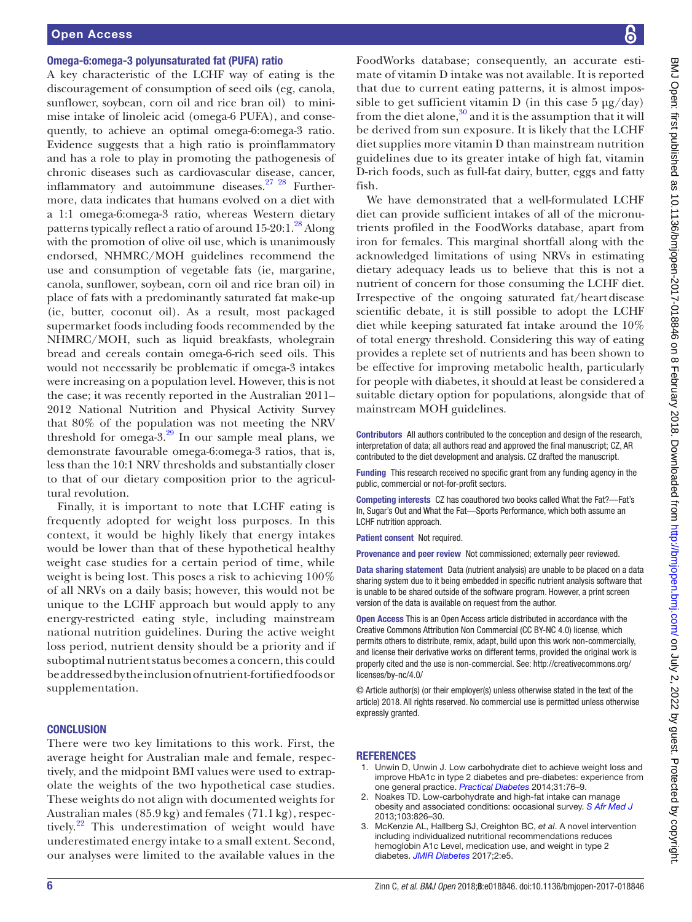#### Omega-6:omega-3 polyunsaturated fat (PUFA) ratio

A key characteristic of the LCHF way of eating is the discouragement of consumption of seed oils (eg, canola, sunflower, soybean, corn oil and rice bran oil) to minimise intake of linoleic acid (omega-6 PUFA), and consequently, to achieve an optimal omega-6:omega-3 ratio. Evidence suggests that a high ratio is proinflammatory and has a role to play in promoting the pathogenesis of chronic diseases such as cardiovascular disease, cancer, inflammatory and autoimmune diseases. $27 \frac{28}{1}$  Furthermore, data indicates that humans evolved on a diet with a 1:1 omega-6:omega-3 ratio, whereas Western dietary patterns typically reflect a ratio of around  $15{\text -}20:1.^{28}$  Along with the promotion of olive oil use, which is unanimously endorsed, NHMRC/MOH guidelines recommend the use and consumption of vegetable fats (ie, margarine, canola, sunflower, soybean, corn oil and rice bran oil) in place of fats with a predominantly saturated fat make-up (ie, butter, coconut oil). As a result, most packaged supermarket foods including foods recommended by the NHMRC/MOH, such as liquid breakfasts, wholegrain bread and cereals contain omega-6-rich seed oils. This would not necessarily be problematic if omega-3 intakes were increasing on a population level. However, this is not the case; it was recently reported in the Australian 2011– 2012 National Nutrition and Physical Activity Survey that 80% of the population was not meeting the NRV threshold for omega- $3.^{29}$  In our sample meal plans, we demonstrate favourable omega-6:omega-3 ratios, that is, less than the 10:1 NRV thresholds and substantially closer to that of our dietary composition prior to the agricultural revolution.

Finally, it is important to note that LCHF eating is frequently adopted for weight loss purposes. In this context, it would be highly likely that energy intakes would be lower than that of these hypothetical healthy weight case studies for a certain period of time, while weight is being lost. This poses a risk to achieving 100% of all NRVs on a daily basis; however, this would not be unique to the LCHF approach but would apply to any energy-restricted eating style, including mainstream national nutrition guidelines. During the active weight loss period, nutrient density should be a priority and if suboptimal nutrient status becomes a concern, this could be addressed by the inclusion of nutrient-fortified foods or supplementation.

### **CONCLUSION**

There were two key limitations to this work. First, the average height for Australian male and female, respectively, and the midpoint BMI values were used to extrapolate the weights of the two hypothetical case studies. These weights do not align with documented weights for Australian males (85.9 kg) and females (71.1 kg), respectively.<sup>22</sup> This underestimation of weight would have underestimated energy intake to a small extent. Second, our analyses were limited to the available values in the

FoodWorks database; consequently, an accurate estimate of vitamin D intake was not available. It is reported that due to current eating patterns, it is almost impossible to get sufficient vitamin D (in this case  $5 \mu g/day$ ) from the diet alone, $30$  and it is the assumption that it will be derived from sun exposure. It is likely that the LCHF diet supplies more vitamin D than mainstream nutrition guidelines due to its greater intake of high fat, vitamin D-rich foods, such as full-fat dairy, butter, eggs and fatty fish.

We have demonstrated that a well-formulated LCHF diet can provide sufficient intakes of all of the micronutrients profiled in the FoodWorks database, apart from iron for females. This marginal shortfall along with the acknowledged limitations of using NRVs in estimating dietary adequacy leads us to believe that this is not a nutrient of concern for those consuming the LCHF diet. Irrespective of the ongoing saturated fat/heartdisease scientific debate, it is still possible to adopt the LCHF diet while keeping saturated fat intake around the 10% of total energy threshold. Considering this way of eating provides a replete set of nutrients and has been shown to be effective for improving metabolic health, particularly for people with diabetes, it should at least be considered a suitable dietary option for populations, alongside that of mainstream MOH guidelines.

Contributors All authors contributed to the conception and design of the research, interpretation of data; all authors read and approved the final manuscript; CZ, AR contributed to the diet development and analysis. CZ drafted the manuscript.

Funding This research received no specific grant from any funding agency in the public, commercial or not-for-profit sectors.

Competing interests CZ has coauthored two books called What the Fat?—Fat's In, Sugar's Out and What the Fat—Sports Performance, which both assume an LCHF nutrition approach.

Patient consent Not required.

Provenance and peer review Not commissioned; externally peer reviewed.

Data sharing statement Data (nutrient analysis) are unable to be placed on a data sharing system due to it being embedded in specific nutrient analysis software that is unable to be shared outside of the software program. However, a print screen version of the data is available on request from the author.

Open Access This is an Open Access article distributed in accordance with the Creative Commons Attribution Non Commercial (CC BY-NC 4.0) license, which permits others to distribute, remix, adapt, build upon this work non-commercially, and license their derivative works on different terms, provided the original work is properly cited and the use is non-commercial. See: [http://creativecommons.org/](http://creativecommons.org/licenses/by-nc/4.0/) [licenses/by-nc/4.0/](http://creativecommons.org/licenses/by-nc/4.0/)

© Article author(s) (or their employer(s) unless otherwise stated in the text of the article) 2018. All rights reserved. No commercial use is permitted unless otherwise expressly granted.

# **REFERENCES**

- <span id="page-5-0"></span>1. Unwin D, Unwin J. Low carbohydrate diet to achieve weight loss and improve HbA1c in type 2 diabetes and pre-diabetes: experience from one general practice. *[Practical Diabetes](http://dx.doi.org/10.1002/pdi.1835)* 2014;31:76–9.
- Noakes TD. Low-carbohydrate and high-fat intake can manage obesity and associated conditions: occasional survey. *[S Afr Med J](http://dx.doi.org/10.7196/SAMJ.7302)* 2013;103:826–30.
- 3. McKenzie AL, Hallberg SJ, Creighton BC, *et al*. A novel intervention including individualized nutritional recommendations reduces hemoglobin A1c Level, medication use, and weight in type 2 diabetes. *[JMIR Diabetes](http://dx.doi.org/10.2196/diabetes.6981)* 2017;2:e5.